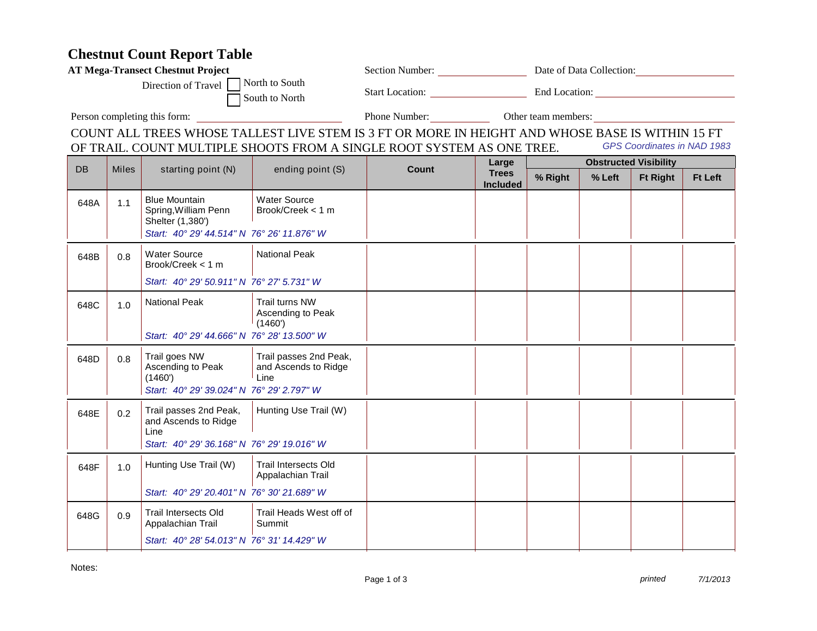## **Chestnut Count Report Table**

| <b>AT Mega-Transect Chestnut Project</b>                |              |                                                                                                                |                                                        | Section Number: Date of Data Collection:                                                         |                                   |                              |        |                 |                |  |
|---------------------------------------------------------|--------------|----------------------------------------------------------------------------------------------------------------|--------------------------------------------------------|--------------------------------------------------------------------------------------------------|-----------------------------------|------------------------------|--------|-----------------|----------------|--|
| North to South<br>Direction of Travel<br>South to North |              |                                                                                                                |                                                        |                                                                                                  | Start Location: End Location:     |                              |        |                 |                |  |
| Person completing this form:                            |              |                                                                                                                |                                                        |                                                                                                  | Phone Number: Other team members: |                              |        |                 |                |  |
|                                                         |              |                                                                                                                |                                                        | COUNT ALL TREES WHOSE TALLEST LIVE STEM IS 3 FT OR MORE IN HEIGHT AND WHOSE BASE IS WITHIN 15 FT |                                   |                              |        |                 |                |  |
|                                                         |              |                                                                                                                |                                                        | OF TRAIL. COUNT MULTIPLE SHOOTS FROM A SINGLE ROOT SYSTEM AS ONE TREE.                           | GPS Coordinates in NAD 1983       |                              |        |                 |                |  |
| DB                                                      | <b>Miles</b> | starting point (N)                                                                                             | ending point (S)                                       | Count                                                                                            | Large<br><b>Trees</b>             | <b>Obstructed Visibility</b> |        |                 |                |  |
|                                                         |              |                                                                                                                |                                                        |                                                                                                  | <b>Included</b>                   | % Right                      | % Left | <b>Ft Right</b> | <b>Ft Left</b> |  |
| 648A                                                    | 1.1          | <b>Blue Mountain</b><br>Spring, William Penn<br>Shelter (1,380')<br>Start: 40° 29' 44.514" N 76° 26' 11.876" W | <b>Water Source</b><br>Brook/Creek < 1 m               |                                                                                                  |                                   |                              |        |                 |                |  |
|                                                         |              |                                                                                                                |                                                        |                                                                                                  |                                   |                              |        |                 |                |  |
| 648B                                                    | 0.8          | <b>Water Source</b><br>Brook/Creek < 1 m                                                                       | <b>National Peak</b>                                   |                                                                                                  |                                   |                              |        |                 |                |  |
|                                                         |              | Start: 40° 29' 50.911" N 76° 27' 5.731" W                                                                      |                                                        |                                                                                                  |                                   |                              |        |                 |                |  |
| 648C                                                    | 1.0          | <b>National Peak</b>                                                                                           | <b>Trail turns NW</b><br>Ascending to Peak<br>(1460)   |                                                                                                  |                                   |                              |        |                 |                |  |
|                                                         |              | Start: 40° 29' 44.666" N 76° 28' 13.500" W                                                                     |                                                        |                                                                                                  |                                   |                              |        |                 |                |  |
| 648D                                                    | 0.8          | Trail goes NW<br>Ascending to Peak<br>(1460')<br>Start: 40° 29' 39.024" N 76° 29' 2.797" W                     | Trail passes 2nd Peak,<br>and Ascends to Ridge<br>Line |                                                                                                  |                                   |                              |        |                 |                |  |
| 648E                                                    | 0.2          | Trail passes 2nd Peak,<br>and Ascends to Ridge<br>Line<br>Start: 40° 29' 36.168" N 76° 29' 19.016" W           | Hunting Use Trail (W)                                  |                                                                                                  |                                   |                              |        |                 |                |  |
| 648F                                                    | 1.0          | Hunting Use Trail (W)                                                                                          | <b>Trail Intersects Old</b><br>Appalachian Trail       |                                                                                                  |                                   |                              |        |                 |                |  |
|                                                         |              | Start: 40° 29' 20.401" N 76° 30' 21.689" W                                                                     |                                                        |                                                                                                  |                                   |                              |        |                 |                |  |
| 648G                                                    | 0.9          | Trail Intersects Old<br>Appalachian Trail                                                                      | Trail Heads West off of<br>Summit                      |                                                                                                  |                                   |                              |        |                 |                |  |
|                                                         |              | Start: 40° 28' 54.013" N 76° 31' 14.429" W                                                                     |                                                        |                                                                                                  |                                   |                              |        |                 |                |  |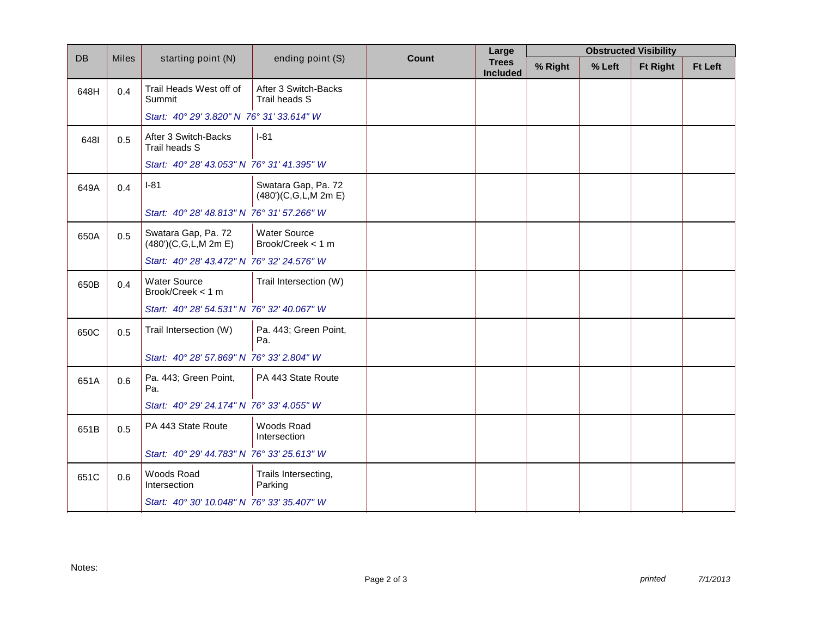| <b>DB</b> | <b>Miles</b> | starting point (N)                          |                                             | Count | <b>Obstructed Visibility</b><br>Large |         |        |                 |                |
|-----------|--------------|---------------------------------------------|---------------------------------------------|-------|---------------------------------------|---------|--------|-----------------|----------------|
|           |              |                                             | ending point (S)                            |       | <b>Trees</b><br><b>Included</b>       | % Right | % Left | <b>Ft Right</b> | <b>Ft Left</b> |
| 648H      | 0.4          | Trail Heads West off of<br>Summit           | After 3 Switch-Backs<br>Trail heads S       |       |                                       |         |        |                 |                |
|           |              | Start: 40° 29' 3.820" N 76° 31' 33.614" W   |                                             |       |                                       |         |        |                 |                |
| 6481      | 0.5          | After 3 Switch-Backs<br>Trail heads S       | $I-81$                                      |       |                                       |         |        |                 |                |
|           |              | Start: 40° 28' 43.053" N 76° 31' 41.395" W  |                                             |       |                                       |         |        |                 |                |
| 649A      | 0.4          | $I-81$                                      | Swatara Gap, Pa. 72<br>(480')(C,G,L,M 2m E) |       |                                       |         |        |                 |                |
|           |              | Start: 40° 28' 48.813" N 76° 31' 57.266" W  |                                             |       |                                       |         |        |                 |                |
| 650A      | 0.5          | Swatara Gap, Pa. 72<br>(480')(C,G,L,M 2m E) | <b>Water Source</b><br>Brook/Creek < 1 m    |       |                                       |         |        |                 |                |
|           |              | Start: 40° 28' 43.472" N 76° 32' 24.576" W  |                                             |       |                                       |         |        |                 |                |
| 650B      | 0.4          | <b>Water Source</b><br>Brook/Creek < 1 m    | Trail Intersection (W)                      |       |                                       |         |        |                 |                |
|           |              | Start: 40° 28' 54.531" N 76° 32' 40.067" W  |                                             |       |                                       |         |        |                 |                |
| 650C      | 0.5          | Trail Intersection (W)                      | Pa. 443; Green Point,<br>Pa.                |       |                                       |         |        |                 |                |
|           |              | Start: 40° 28' 57.869" N 76° 33' 2.804" W   |                                             |       |                                       |         |        |                 |                |
| 651A      | 0.6          | Pa. 443; Green Point,<br>Pa.                | PA 443 State Route                          |       |                                       |         |        |                 |                |
|           |              | Start: 40° 29' 24.174" N 76° 33' 4.055" W   |                                             |       |                                       |         |        |                 |                |
| 651B      | 0.5          | PA 443 State Route                          | Woods Road<br>Intersection                  |       |                                       |         |        |                 |                |
|           |              | Start: 40° 29' 44.783" N 76° 33' 25.613" W  |                                             |       |                                       |         |        |                 |                |
| 651C      | 0.6          | Woods Road<br>Intersection                  | Trails Intersecting,<br>Parking             |       |                                       |         |        |                 |                |
|           |              | Start: 40° 30' 10.048" N 76° 33' 35.407" W  |                                             |       |                                       |         |        |                 |                |